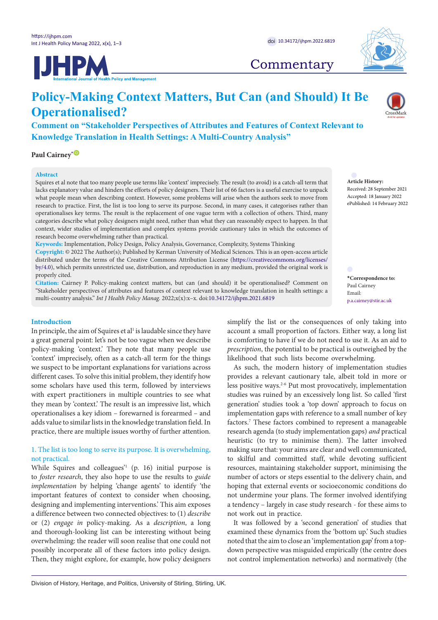



## **Commentary**

# **Policy-Making Context Matters, But Can (and Should) It Be Operationalised?**

**Comment on "Stakeholder Perspectives of Attributes and Features of Context Relevant to Knowledge Translation in Health Settings: A Multi-Country Analysis"**

**Paul Cairney**<sup>[\\*](#page-0-0) **D**</sup>

#### **Abstract**

Squires et al note that too many people use terms like 'context' imprecisely. The result (to avoid) is a catch-all term that lacks explanatory value and hinders the efforts of policy designers. Their list of 66 factors is a useful exercise to unpack what people mean when describing context. However, some problems will arise when the authors seek to move from research to practice. First, the list is too long to serve its purpose. Second, in many cases, it categorises rather than operationalises key terms. The result is the replacement of one vague term with a collection of others. Third, many categories describe what policy designers might need, rather than what they can reasonably expect to happen. In that context, wider studies of implementation and complex systems provide cautionary tales in which the outcomes of research become overwhelming rather than practical.

**Keywords:** Implementation, Policy Design, Policy Analysis, Governance, Complexity, Systems Thinking **Copyright:** © 2022 The Author(s); Published by Kerman University of Medical Sciences. This is an open-access article distributed under the terms of the Creative Commons Attribution License [\(https://creativecommons.org/licenses/](https://creativecommons.org/licenses/by/4.0/) [by/4.0](https://creativecommons.org/licenses/by/4.0/)), which permits unrestricted use, distribution, and reproduction in any medium, provided the original work is properly cited.

**Citation:** Cairney P. Policy-making context matters, but can (and should) it be operationalised? Comment on "Stakeholder perspectives of attributes and features of context relevant to knowledge translation in health settings: a multi-country analysis." *Int J Health Policy Manag.* 2022;x(x):x–x. doi[:10.34172/ijhpm.2021.6819](https://doi.org/10.34172/ijhpm.2022.6819)

### **Introduction**

In principle, the aim of Squires et al<sup>1</sup> is laudable since they have a great general point: let's not be too vague when we describe policy-making 'context.' They note that many people use 'context' imprecisely, often as a catch-all term for the things we suspect to be important explanations for variations across different cases. To solve this initial problem, they identify how some scholars have used this term, followed by interviews with expert practitioners in multiple countries to see what they mean by 'context.' The result is an impressive list, which operationalises a key idiom – forewarned is forearmed – and adds value to similar lists in the knowledge translation field. In practice, there are multiple issues worthy of further attention.

## 1. The list is too long to serve its purpose. It is overwhelming, not practical.

While Squires and colleagues<sup>21</sup> (p. 16) initial purpose is to *foster research*, they also hope to use the results to *guide implementation* by helping 'change agents' to identify 'the important features of context to consider when choosing, designing and implementing interventions.' This aim exposes a difference between two connected objectives: to (1) *describe* or (2) *engage in* policy-making. As a *description*, a long and thorough-looking list can be interesting without being overwhelming: the reader will soon realise that one could not possibly incorporate all of these factors into policy design. Then, they might explore, for example, how policy designers Received: 28 September 2021 Accepted: 18 January 2022 ePublished: 14 February 2022

**Article History:**

<span id="page-0-0"></span>**\*Correspondence to:** Paul Cairney Email: p.a.cairney@stir.ac.uk

simplify the list or the consequences of only taking into account a small proportion of factors. Either way, a long list is comforting to have if we do not need to use it. As an aid to *prescription*, the potential to be practical is outweighed by the likelihood that such lists become overwhelming.

As such, the modern history of implementation studies provides a relevant cautionary tale, albeit told in more or less positive ways.2-6 Put most provocatively, implementation studies was ruined by an excessively long list. So called 'first generation' studies took a 'top down' approach to focus on implementation gaps with reference to a small number of key factors.7 These factors combined to represent a manageable research agenda (to study implementation gaps) *and* practical heuristic (to try to minimise them). The latter involved making sure that: your aims are clear and well communicated, to skilful and committed staff, while devoting sufficient resources, maintaining stakeholder support, minimising the number of actors or steps essential to the delivery chain, and hoping that external events or socioeconomic conditions do not undermine your plans. The former involved identifying a tendency – largely in case study research - for these aims to not work out in practice.

It was followed by a 'second generation' of studies that examined these dynamics from the 'bottom up.' Such studies noted that the aim to close an 'implementation gap' from a topdown perspective was misguided empirically (the centre does not control implementation networks) and normatively (the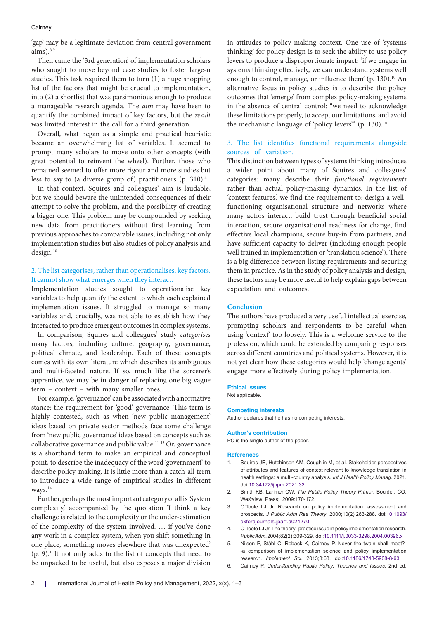'gap' may be a legitimate deviation from central government  $aims).$ <sup>8,9</sup>

Then came the '3rd generation' of implementation scholars who sought to move beyond case studies to foster large-n studies. This task required them to turn (1) a huge shopping list of the factors that might be crucial to implementation, into (2) a shortlist that was parsimonious enough to produce a manageable research agenda. The *aim* may have been to quantify the combined impact of key factors, but the *result* was limited interest in the call for a third generation.

Overall, what began as a simple and practical heuristic became an overwhelming list of variables. It seemed to prompt many scholars to move onto other concepts (with great potential to reinvent the wheel). Further, those who remained seemed to offer more rigour and more studies but less to say to (a diverse group of) practitioners (p. 310).4

In that context, Squires and colleagues' aim is laudable, but we should beware the unintended consequences of their attempt to solve the problem, and the possibility of creating a bigger one. This problem may be compounded by seeking new data from practitioners without first learning from previous approaches to comparable issues, including not only implementation studies but also studies of policy analysis and design.10

## 2. The list categorises, rather than operationalises, key factors. It cannot show what emerges when they interact.

Implementation studies sought to operationalise key variables to help quantify the extent to which each explained implementation issues. It struggled to manage so many variables and, crucially, was not able to establish how they interacted to produce emergent outcomes in complex systems.

In comparison, Squires and colleagues' study *categorises*  many factors, including culture, geography, governance, political climate, and leadership. Each of these concepts comes with its own literature which describes its ambiguous and multi-faceted nature. If so, much like the sorcerer's apprentice, we may be in danger of replacing one big vague term – context – with many smaller ones.

For example, 'governance' can be associated with a normative stance: the requirement for 'good' governance. This term is highly contested, such as when 'new public management' ideas based on private sector methods face some challenge from 'new public governance' ideas based on concepts such as collaborative governance and public value.11-13 Or, governance is a shorthand term to make an empirical and conceptual point, to describe the inadequacy of the word 'government' to describe policy-making. It is little more than a catch-all term to introduce a wide range of empirical studies in different ways.<sup>14</sup>

Further, perhaps the most important category of all is 'System complexity,' accompanied by the quotation 'I think a key challenge is related to the complexity or the under-estimation of the complexity of the system involved. … if you've done any work in a complex system, when you shift something in one place, something moves elsewhere that was unexpected' (p. 9).1 It not only adds to the list of concepts that need to be unpacked to be useful, but also exposes a major division

in attitudes to policy-making context. One use of 'systems thinking' for policy design is to seek the ability to use policy levers to produce a disproportionate impact: 'if we engage in systems thinking effectively, we can understand systems well enough to control, manage, or influence them' (p. 130).<sup>10</sup> An alternative focus in policy studies is to describe the policy outcomes that 'emerge' from complex policy-making systems in the absence of central control: "we need to acknowledge these limitations properly, to accept our limitations, and avoid the mechanistic language of 'policy levers" (p. 130).<sup>10</sup>

## 3. The list identifies functional requirements alongside sources of variation.

This distinction between types of systems thinking introduces a wider point about many of Squires and colleagues' categories: many describe their *functional requirements* rather than actual policy-making dynamics. In the list of 'context features,' we find the requirement to: design a wellfunctioning organisational structure and networks where many actors interact, build trust through beneficial social interaction, secure organisational readiness for change, find effective local champions, secure buy-in from partners, and have sufficient capacity to deliver (including enough people well trained in implementation or 'translation science'). There is a big difference between listing requirements and securing them in practice. As in the study of policy analysis and design, these factors may be more useful to help explain gaps between expectation and outcomes.

## **Conclusion**

The authors have produced a very useful intellectual exercise, prompting scholars and respondents to be careful when using 'context' too loosely. This is a welcome service to the profession, which could be extended by comparing responses across different countries and political systems. However, it is not yet clear how these categories would help 'change agents' engage more effectively during policy implementation.

#### **Ethical issues**

Not applicable.

#### **Competing interests**

Author declares that he has no competing interests.

#### **Author's contribution**

PC is the single author of the paper.

#### **References**

- Squires JE, Hutchinson AM, Coughlin M, et al. Stakeholder perspectives of attributes and features of context relevant to knowledge translation in health settings: a multi-country analysis. *Int J Health Policy Manag*. 2021. doi[:10.34172/ijhpm.2021.32](https://doi.org/10.34172/ijhpm.2021.32)
- 2. Smith KB, Larimer CW. *The Public Policy Theory Primer*. Boulder, CO: Westview Press; 2009:170-172.
- 3. O'Toole LJ Jr. Research on policy implementation: assessment and prospects. *J Public Adm Res Theory*. 2000;10(2):263-288. doi:[10.1093/](https://doi.org/10.1093/oxfordjournals.jpart.a024270) [oxfordjournals.jpart.a024270](https://doi.org/10.1093/oxfordjournals.jpart.a024270)
- 4. O'Toole LJ Jr. The theory–practice issue in policy implementation research. *Public Adm*. 2004;82(2):309-329. doi[:10.1111/j.0033-3298.2004.00396.x](https://doi.org/10.1111/j.0033-3298.2004.00396.x)
- 5. Nilsen P, Ståhl C, Roback K, Cairney P. Never the twain shall meet?- -a comparison of implementation science and policy implementation research. *Implement Sci*. 2013;8:63. doi[:10.1186/1748-5908-8-63](https://doi.org/10.1186/1748-5908-8-63)
- 6. Cairney P. *Understanding Public Policy: Theories and Issues*. 2nd ed.